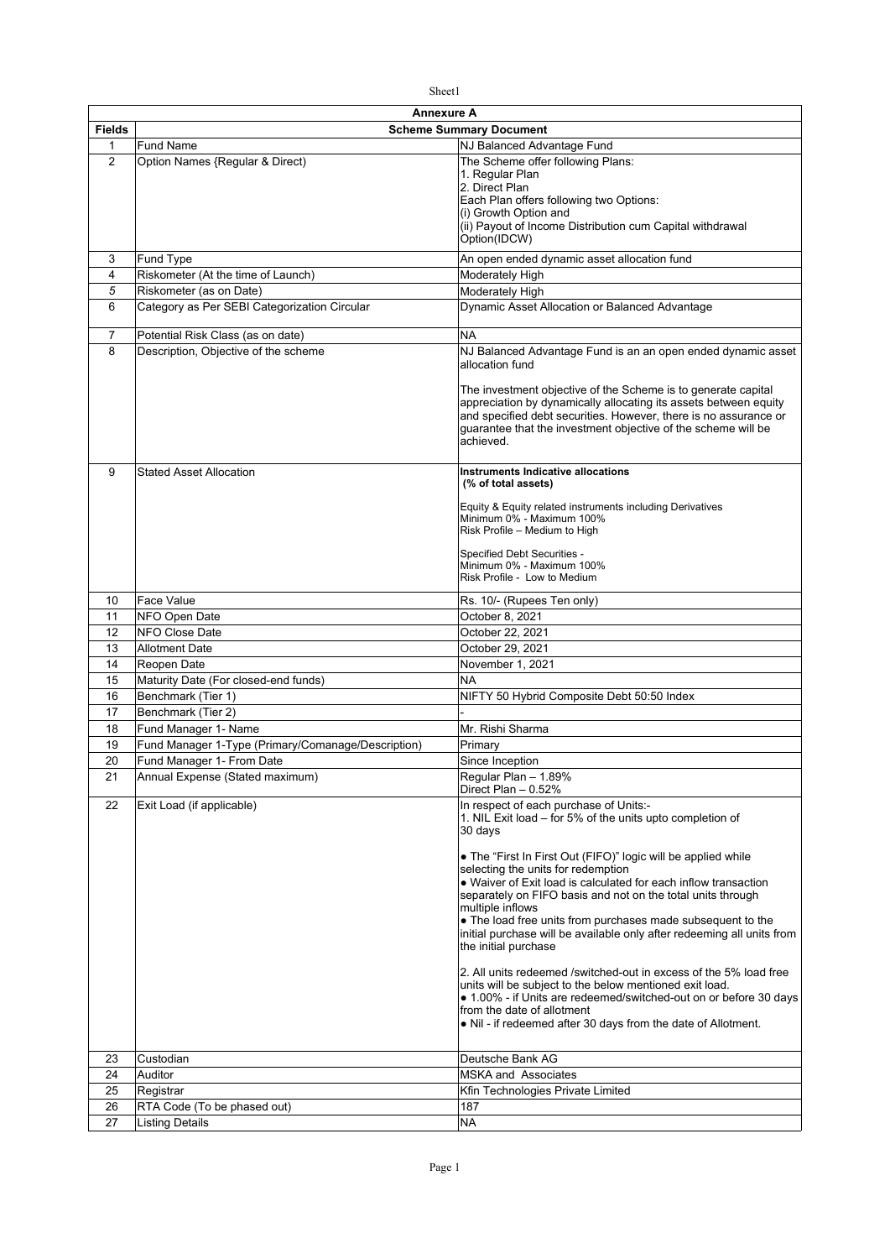|--|

| <b>Fields</b><br><b>Scheme Summary Document</b><br>NJ Balanced Advantage Fund<br>$\mathbf{1}$<br><b>Fund Name</b><br>$\overline{2}$<br>Option Names {Regular & Direct)<br>The Scheme offer following Plans:<br>1. Regular Plan<br>2. Direct Plan<br>Each Plan offers following two Options:<br>(i) Growth Option and<br>(ii) Payout of Income Distribution cum Capital withdrawal<br>Option(IDCW)<br>Fund Type<br>An open ended dynamic asset allocation fund<br>3<br>4<br>Riskometer (At the time of Launch)<br>Moderately High<br>5<br>Riskometer (as on Date)<br>Moderately High<br>Category as Per SEBI Categorization Circular<br>6<br>Dynamic Asset Allocation or Balanced Advantage<br>$\overline{7}$<br>Potential Risk Class (as on date)<br><b>NA</b><br>8<br>Description, Objective of the scheme<br>NJ Balanced Advantage Fund is an an open ended dynamic asset<br>allocation fund<br>The investment objective of the Scheme is to generate capital<br>appreciation by dynamically allocating its assets between equity<br>and specified debt securities. However, there is no assurance or<br>guarantee that the investment objective of the scheme will be<br>achieved.<br>9<br><b>Stated Asset Allocation</b><br>Instruments Indicative allocations<br>(% of total assets)<br>Equity & Equity related instruments including Derivatives<br>Minimum 0% - Maximum 100%<br>Risk Profile - Medium to High<br>Specified Debt Securities -<br>Minimum 0% - Maximum 100%<br>Risk Profile - Low to Medium<br><b>Face Value</b><br>Rs. 10/- (Rupees Ten only)<br>10<br>11<br>NFO Open Date<br>October 8, 2021<br>12<br><b>NFO Close Date</b><br>October 22, 2021<br>13<br><b>Allotment Date</b><br>October 29, 2021<br>14<br>November 1, 2021<br>Reopen Date<br><b>NA</b><br>15<br>Maturity Date (For closed-end funds)<br>16<br>Benchmark (Tier 1)<br>NIFTY 50 Hybrid Composite Debt 50:50 Index<br>17<br>Benchmark (Tier 2)<br>Mr. Rishi Sharma<br>18<br>Fund Manager 1- Name<br>Fund Manager 1-Type (Primary/Comanage/Description)<br>19<br>Primary<br>20<br>Fund Manager 1- From Date<br>Since Inception<br>21<br>Annual Expense (Stated maximum)<br>Regular Plan - 1.89%<br>Direct Plan - 0.52%<br>22<br>Exit Load (if applicable)<br>In respect of each purchase of Units:-<br>1. NIL Exit load - for 5% of the units upto completion of<br>30 days<br>• The "First In First Out (FIFO)" logic will be applied while<br>selecting the units for redemption<br>• Waiver of Exit load is calculated for each inflow transaction<br>separately on FIFO basis and not on the total units through<br>multiple inflows<br>• The load free units from purchases made subsequent to the<br>initial purchase will be available only after redeeming all units from<br>the initial purchase<br>2. All units redeemed /switched-out in excess of the 5% load free<br>units will be subject to the below mentioned exit load.<br>• 1.00% - if Units are redeemed/switched-out on or before 30 days<br>from the date of allotment<br>• Nil - if redeemed after 30 days from the date of Allotment.<br>Custodian<br>Deutsche Bank AG<br>23<br>24<br>Auditor<br><b>MSKA and Associates</b><br>25<br>Kfin Technologies Private Limited<br>Registrar<br>26<br>RTA Code (To be phased out)<br>187<br><b>Listing Details</b><br><b>NA</b><br>27 | Annexure A |  |  |  |
|------------------------------------------------------------------------------------------------------------------------------------------------------------------------------------------------------------------------------------------------------------------------------------------------------------------------------------------------------------------------------------------------------------------------------------------------------------------------------------------------------------------------------------------------------------------------------------------------------------------------------------------------------------------------------------------------------------------------------------------------------------------------------------------------------------------------------------------------------------------------------------------------------------------------------------------------------------------------------------------------------------------------------------------------------------------------------------------------------------------------------------------------------------------------------------------------------------------------------------------------------------------------------------------------------------------------------------------------------------------------------------------------------------------------------------------------------------------------------------------------------------------------------------------------------------------------------------------------------------------------------------------------------------------------------------------------------------------------------------------------------------------------------------------------------------------------------------------------------------------------------------------------------------------------------------------------------------------------------------------------------------------------------------------------------------------------------------------------------------------------------------------------------------------------------------------------------------------------------------------------------------------------------------------------------------------------------------------------------------------------------------------------------------------------------------------------------------------------------------------------------------------------------------------------------------------------------------------------------------------------------------------------------------------------------------------------------------------------------------------------------------------------------------------------------------------------------------------------------------------------------------------------------------------------------------------------------------------------------------------------------------------------------------------------------------------------------------------------------------------------------------------------------------------------------------------------------------------------------------------------------------------------------------------------------------------------------------------|------------|--|--|--|
|                                                                                                                                                                                                                                                                                                                                                                                                                                                                                                                                                                                                                                                                                                                                                                                                                                                                                                                                                                                                                                                                                                                                                                                                                                                                                                                                                                                                                                                                                                                                                                                                                                                                                                                                                                                                                                                                                                                                                                                                                                                                                                                                                                                                                                                                                                                                                                                                                                                                                                                                                                                                                                                                                                                                                                                                                                                                                                                                                                                                                                                                                                                                                                                                                                                                                                                                          |            |  |  |  |
|                                                                                                                                                                                                                                                                                                                                                                                                                                                                                                                                                                                                                                                                                                                                                                                                                                                                                                                                                                                                                                                                                                                                                                                                                                                                                                                                                                                                                                                                                                                                                                                                                                                                                                                                                                                                                                                                                                                                                                                                                                                                                                                                                                                                                                                                                                                                                                                                                                                                                                                                                                                                                                                                                                                                                                                                                                                                                                                                                                                                                                                                                                                                                                                                                                                                                                                                          |            |  |  |  |
|                                                                                                                                                                                                                                                                                                                                                                                                                                                                                                                                                                                                                                                                                                                                                                                                                                                                                                                                                                                                                                                                                                                                                                                                                                                                                                                                                                                                                                                                                                                                                                                                                                                                                                                                                                                                                                                                                                                                                                                                                                                                                                                                                                                                                                                                                                                                                                                                                                                                                                                                                                                                                                                                                                                                                                                                                                                                                                                                                                                                                                                                                                                                                                                                                                                                                                                                          |            |  |  |  |
|                                                                                                                                                                                                                                                                                                                                                                                                                                                                                                                                                                                                                                                                                                                                                                                                                                                                                                                                                                                                                                                                                                                                                                                                                                                                                                                                                                                                                                                                                                                                                                                                                                                                                                                                                                                                                                                                                                                                                                                                                                                                                                                                                                                                                                                                                                                                                                                                                                                                                                                                                                                                                                                                                                                                                                                                                                                                                                                                                                                                                                                                                                                                                                                                                                                                                                                                          |            |  |  |  |
|                                                                                                                                                                                                                                                                                                                                                                                                                                                                                                                                                                                                                                                                                                                                                                                                                                                                                                                                                                                                                                                                                                                                                                                                                                                                                                                                                                                                                                                                                                                                                                                                                                                                                                                                                                                                                                                                                                                                                                                                                                                                                                                                                                                                                                                                                                                                                                                                                                                                                                                                                                                                                                                                                                                                                                                                                                                                                                                                                                                                                                                                                                                                                                                                                                                                                                                                          |            |  |  |  |
|                                                                                                                                                                                                                                                                                                                                                                                                                                                                                                                                                                                                                                                                                                                                                                                                                                                                                                                                                                                                                                                                                                                                                                                                                                                                                                                                                                                                                                                                                                                                                                                                                                                                                                                                                                                                                                                                                                                                                                                                                                                                                                                                                                                                                                                                                                                                                                                                                                                                                                                                                                                                                                                                                                                                                                                                                                                                                                                                                                                                                                                                                                                                                                                                                                                                                                                                          |            |  |  |  |
|                                                                                                                                                                                                                                                                                                                                                                                                                                                                                                                                                                                                                                                                                                                                                                                                                                                                                                                                                                                                                                                                                                                                                                                                                                                                                                                                                                                                                                                                                                                                                                                                                                                                                                                                                                                                                                                                                                                                                                                                                                                                                                                                                                                                                                                                                                                                                                                                                                                                                                                                                                                                                                                                                                                                                                                                                                                                                                                                                                                                                                                                                                                                                                                                                                                                                                                                          |            |  |  |  |
|                                                                                                                                                                                                                                                                                                                                                                                                                                                                                                                                                                                                                                                                                                                                                                                                                                                                                                                                                                                                                                                                                                                                                                                                                                                                                                                                                                                                                                                                                                                                                                                                                                                                                                                                                                                                                                                                                                                                                                                                                                                                                                                                                                                                                                                                                                                                                                                                                                                                                                                                                                                                                                                                                                                                                                                                                                                                                                                                                                                                                                                                                                                                                                                                                                                                                                                                          |            |  |  |  |
|                                                                                                                                                                                                                                                                                                                                                                                                                                                                                                                                                                                                                                                                                                                                                                                                                                                                                                                                                                                                                                                                                                                                                                                                                                                                                                                                                                                                                                                                                                                                                                                                                                                                                                                                                                                                                                                                                                                                                                                                                                                                                                                                                                                                                                                                                                                                                                                                                                                                                                                                                                                                                                                                                                                                                                                                                                                                                                                                                                                                                                                                                                                                                                                                                                                                                                                                          |            |  |  |  |
|                                                                                                                                                                                                                                                                                                                                                                                                                                                                                                                                                                                                                                                                                                                                                                                                                                                                                                                                                                                                                                                                                                                                                                                                                                                                                                                                                                                                                                                                                                                                                                                                                                                                                                                                                                                                                                                                                                                                                                                                                                                                                                                                                                                                                                                                                                                                                                                                                                                                                                                                                                                                                                                                                                                                                                                                                                                                                                                                                                                                                                                                                                                                                                                                                                                                                                                                          |            |  |  |  |
|                                                                                                                                                                                                                                                                                                                                                                                                                                                                                                                                                                                                                                                                                                                                                                                                                                                                                                                                                                                                                                                                                                                                                                                                                                                                                                                                                                                                                                                                                                                                                                                                                                                                                                                                                                                                                                                                                                                                                                                                                                                                                                                                                                                                                                                                                                                                                                                                                                                                                                                                                                                                                                                                                                                                                                                                                                                                                                                                                                                                                                                                                                                                                                                                                                                                                                                                          |            |  |  |  |
|                                                                                                                                                                                                                                                                                                                                                                                                                                                                                                                                                                                                                                                                                                                                                                                                                                                                                                                                                                                                                                                                                                                                                                                                                                                                                                                                                                                                                                                                                                                                                                                                                                                                                                                                                                                                                                                                                                                                                                                                                                                                                                                                                                                                                                                                                                                                                                                                                                                                                                                                                                                                                                                                                                                                                                                                                                                                                                                                                                                                                                                                                                                                                                                                                                                                                                                                          |            |  |  |  |
|                                                                                                                                                                                                                                                                                                                                                                                                                                                                                                                                                                                                                                                                                                                                                                                                                                                                                                                                                                                                                                                                                                                                                                                                                                                                                                                                                                                                                                                                                                                                                                                                                                                                                                                                                                                                                                                                                                                                                                                                                                                                                                                                                                                                                                                                                                                                                                                                                                                                                                                                                                                                                                                                                                                                                                                                                                                                                                                                                                                                                                                                                                                                                                                                                                                                                                                                          |            |  |  |  |
|                                                                                                                                                                                                                                                                                                                                                                                                                                                                                                                                                                                                                                                                                                                                                                                                                                                                                                                                                                                                                                                                                                                                                                                                                                                                                                                                                                                                                                                                                                                                                                                                                                                                                                                                                                                                                                                                                                                                                                                                                                                                                                                                                                                                                                                                                                                                                                                                                                                                                                                                                                                                                                                                                                                                                                                                                                                                                                                                                                                                                                                                                                                                                                                                                                                                                                                                          |            |  |  |  |
|                                                                                                                                                                                                                                                                                                                                                                                                                                                                                                                                                                                                                                                                                                                                                                                                                                                                                                                                                                                                                                                                                                                                                                                                                                                                                                                                                                                                                                                                                                                                                                                                                                                                                                                                                                                                                                                                                                                                                                                                                                                                                                                                                                                                                                                                                                                                                                                                                                                                                                                                                                                                                                                                                                                                                                                                                                                                                                                                                                                                                                                                                                                                                                                                                                                                                                                                          |            |  |  |  |
|                                                                                                                                                                                                                                                                                                                                                                                                                                                                                                                                                                                                                                                                                                                                                                                                                                                                                                                                                                                                                                                                                                                                                                                                                                                                                                                                                                                                                                                                                                                                                                                                                                                                                                                                                                                                                                                                                                                                                                                                                                                                                                                                                                                                                                                                                                                                                                                                                                                                                                                                                                                                                                                                                                                                                                                                                                                                                                                                                                                                                                                                                                                                                                                                                                                                                                                                          |            |  |  |  |
|                                                                                                                                                                                                                                                                                                                                                                                                                                                                                                                                                                                                                                                                                                                                                                                                                                                                                                                                                                                                                                                                                                                                                                                                                                                                                                                                                                                                                                                                                                                                                                                                                                                                                                                                                                                                                                                                                                                                                                                                                                                                                                                                                                                                                                                                                                                                                                                                                                                                                                                                                                                                                                                                                                                                                                                                                                                                                                                                                                                                                                                                                                                                                                                                                                                                                                                                          |            |  |  |  |
|                                                                                                                                                                                                                                                                                                                                                                                                                                                                                                                                                                                                                                                                                                                                                                                                                                                                                                                                                                                                                                                                                                                                                                                                                                                                                                                                                                                                                                                                                                                                                                                                                                                                                                                                                                                                                                                                                                                                                                                                                                                                                                                                                                                                                                                                                                                                                                                                                                                                                                                                                                                                                                                                                                                                                                                                                                                                                                                                                                                                                                                                                                                                                                                                                                                                                                                                          |            |  |  |  |
|                                                                                                                                                                                                                                                                                                                                                                                                                                                                                                                                                                                                                                                                                                                                                                                                                                                                                                                                                                                                                                                                                                                                                                                                                                                                                                                                                                                                                                                                                                                                                                                                                                                                                                                                                                                                                                                                                                                                                                                                                                                                                                                                                                                                                                                                                                                                                                                                                                                                                                                                                                                                                                                                                                                                                                                                                                                                                                                                                                                                                                                                                                                                                                                                                                                                                                                                          |            |  |  |  |
|                                                                                                                                                                                                                                                                                                                                                                                                                                                                                                                                                                                                                                                                                                                                                                                                                                                                                                                                                                                                                                                                                                                                                                                                                                                                                                                                                                                                                                                                                                                                                                                                                                                                                                                                                                                                                                                                                                                                                                                                                                                                                                                                                                                                                                                                                                                                                                                                                                                                                                                                                                                                                                                                                                                                                                                                                                                                                                                                                                                                                                                                                                                                                                                                                                                                                                                                          |            |  |  |  |
|                                                                                                                                                                                                                                                                                                                                                                                                                                                                                                                                                                                                                                                                                                                                                                                                                                                                                                                                                                                                                                                                                                                                                                                                                                                                                                                                                                                                                                                                                                                                                                                                                                                                                                                                                                                                                                                                                                                                                                                                                                                                                                                                                                                                                                                                                                                                                                                                                                                                                                                                                                                                                                                                                                                                                                                                                                                                                                                                                                                                                                                                                                                                                                                                                                                                                                                                          |            |  |  |  |
|                                                                                                                                                                                                                                                                                                                                                                                                                                                                                                                                                                                                                                                                                                                                                                                                                                                                                                                                                                                                                                                                                                                                                                                                                                                                                                                                                                                                                                                                                                                                                                                                                                                                                                                                                                                                                                                                                                                                                                                                                                                                                                                                                                                                                                                                                                                                                                                                                                                                                                                                                                                                                                                                                                                                                                                                                                                                                                                                                                                                                                                                                                                                                                                                                                                                                                                                          |            |  |  |  |
|                                                                                                                                                                                                                                                                                                                                                                                                                                                                                                                                                                                                                                                                                                                                                                                                                                                                                                                                                                                                                                                                                                                                                                                                                                                                                                                                                                                                                                                                                                                                                                                                                                                                                                                                                                                                                                                                                                                                                                                                                                                                                                                                                                                                                                                                                                                                                                                                                                                                                                                                                                                                                                                                                                                                                                                                                                                                                                                                                                                                                                                                                                                                                                                                                                                                                                                                          |            |  |  |  |
|                                                                                                                                                                                                                                                                                                                                                                                                                                                                                                                                                                                                                                                                                                                                                                                                                                                                                                                                                                                                                                                                                                                                                                                                                                                                                                                                                                                                                                                                                                                                                                                                                                                                                                                                                                                                                                                                                                                                                                                                                                                                                                                                                                                                                                                                                                                                                                                                                                                                                                                                                                                                                                                                                                                                                                                                                                                                                                                                                                                                                                                                                                                                                                                                                                                                                                                                          |            |  |  |  |
|                                                                                                                                                                                                                                                                                                                                                                                                                                                                                                                                                                                                                                                                                                                                                                                                                                                                                                                                                                                                                                                                                                                                                                                                                                                                                                                                                                                                                                                                                                                                                                                                                                                                                                                                                                                                                                                                                                                                                                                                                                                                                                                                                                                                                                                                                                                                                                                                                                                                                                                                                                                                                                                                                                                                                                                                                                                                                                                                                                                                                                                                                                                                                                                                                                                                                                                                          |            |  |  |  |
|                                                                                                                                                                                                                                                                                                                                                                                                                                                                                                                                                                                                                                                                                                                                                                                                                                                                                                                                                                                                                                                                                                                                                                                                                                                                                                                                                                                                                                                                                                                                                                                                                                                                                                                                                                                                                                                                                                                                                                                                                                                                                                                                                                                                                                                                                                                                                                                                                                                                                                                                                                                                                                                                                                                                                                                                                                                                                                                                                                                                                                                                                                                                                                                                                                                                                                                                          |            |  |  |  |
|                                                                                                                                                                                                                                                                                                                                                                                                                                                                                                                                                                                                                                                                                                                                                                                                                                                                                                                                                                                                                                                                                                                                                                                                                                                                                                                                                                                                                                                                                                                                                                                                                                                                                                                                                                                                                                                                                                                                                                                                                                                                                                                                                                                                                                                                                                                                                                                                                                                                                                                                                                                                                                                                                                                                                                                                                                                                                                                                                                                                                                                                                                                                                                                                                                                                                                                                          |            |  |  |  |
|                                                                                                                                                                                                                                                                                                                                                                                                                                                                                                                                                                                                                                                                                                                                                                                                                                                                                                                                                                                                                                                                                                                                                                                                                                                                                                                                                                                                                                                                                                                                                                                                                                                                                                                                                                                                                                                                                                                                                                                                                                                                                                                                                                                                                                                                                                                                                                                                                                                                                                                                                                                                                                                                                                                                                                                                                                                                                                                                                                                                                                                                                                                                                                                                                                                                                                                                          |            |  |  |  |
|                                                                                                                                                                                                                                                                                                                                                                                                                                                                                                                                                                                                                                                                                                                                                                                                                                                                                                                                                                                                                                                                                                                                                                                                                                                                                                                                                                                                                                                                                                                                                                                                                                                                                                                                                                                                                                                                                                                                                                                                                                                                                                                                                                                                                                                                                                                                                                                                                                                                                                                                                                                                                                                                                                                                                                                                                                                                                                                                                                                                                                                                                                                                                                                                                                                                                                                                          |            |  |  |  |
|                                                                                                                                                                                                                                                                                                                                                                                                                                                                                                                                                                                                                                                                                                                                                                                                                                                                                                                                                                                                                                                                                                                                                                                                                                                                                                                                                                                                                                                                                                                                                                                                                                                                                                                                                                                                                                                                                                                                                                                                                                                                                                                                                                                                                                                                                                                                                                                                                                                                                                                                                                                                                                                                                                                                                                                                                                                                                                                                                                                                                                                                                                                                                                                                                                                                                                                                          |            |  |  |  |
|                                                                                                                                                                                                                                                                                                                                                                                                                                                                                                                                                                                                                                                                                                                                                                                                                                                                                                                                                                                                                                                                                                                                                                                                                                                                                                                                                                                                                                                                                                                                                                                                                                                                                                                                                                                                                                                                                                                                                                                                                                                                                                                                                                                                                                                                                                                                                                                                                                                                                                                                                                                                                                                                                                                                                                                                                                                                                                                                                                                                                                                                                                                                                                                                                                                                                                                                          |            |  |  |  |
|                                                                                                                                                                                                                                                                                                                                                                                                                                                                                                                                                                                                                                                                                                                                                                                                                                                                                                                                                                                                                                                                                                                                                                                                                                                                                                                                                                                                                                                                                                                                                                                                                                                                                                                                                                                                                                                                                                                                                                                                                                                                                                                                                                                                                                                                                                                                                                                                                                                                                                                                                                                                                                                                                                                                                                                                                                                                                                                                                                                                                                                                                                                                                                                                                                                                                                                                          |            |  |  |  |
|                                                                                                                                                                                                                                                                                                                                                                                                                                                                                                                                                                                                                                                                                                                                                                                                                                                                                                                                                                                                                                                                                                                                                                                                                                                                                                                                                                                                                                                                                                                                                                                                                                                                                                                                                                                                                                                                                                                                                                                                                                                                                                                                                                                                                                                                                                                                                                                                                                                                                                                                                                                                                                                                                                                                                                                                                                                                                                                                                                                                                                                                                                                                                                                                                                                                                                                                          |            |  |  |  |
|                                                                                                                                                                                                                                                                                                                                                                                                                                                                                                                                                                                                                                                                                                                                                                                                                                                                                                                                                                                                                                                                                                                                                                                                                                                                                                                                                                                                                                                                                                                                                                                                                                                                                                                                                                                                                                                                                                                                                                                                                                                                                                                                                                                                                                                                                                                                                                                                                                                                                                                                                                                                                                                                                                                                                                                                                                                                                                                                                                                                                                                                                                                                                                                                                                                                                                                                          |            |  |  |  |